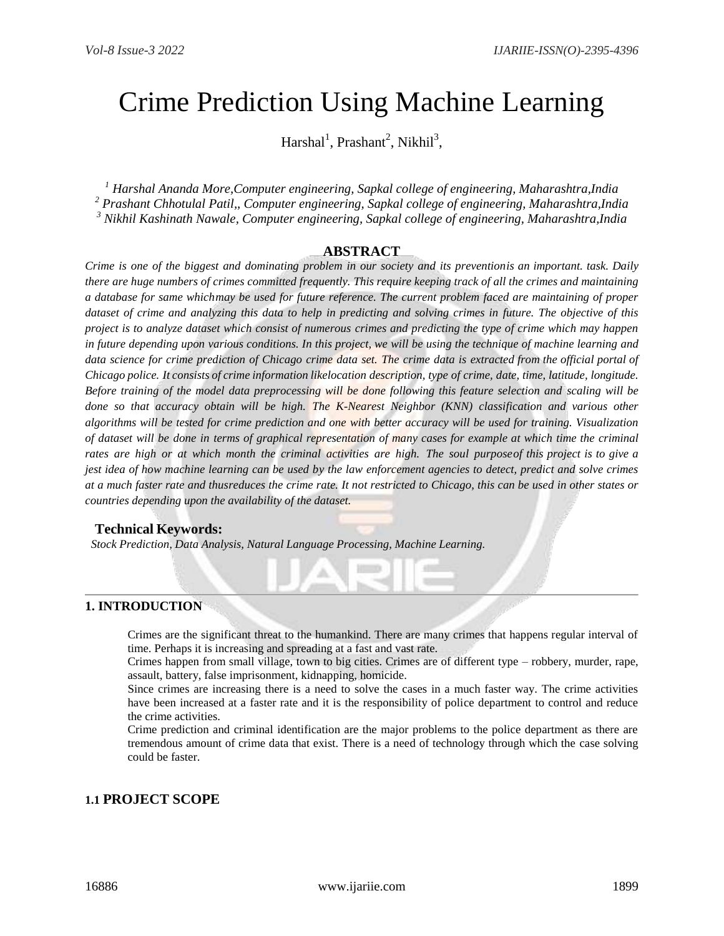# Crime Prediction Using Machine Learning

Harshal<sup>1</sup>, Prashant<sup>2</sup>, Nikhil<sup>3</sup>,

*<sup>1</sup> Harshal Ananda More,Computer engineering, Sapkal college of engineering, Maharashtra,India <sup>2</sup> Prashant Chhotulal Patil,, Computer engineering, Sapkal college of engineering, Maharashtra,India <sup>3</sup> Nikhil Kashinath Nawale, Computer engineering, Sapkal college of engineering, Maharashtra,India*

#### **ABSTRACT**

Crime is one of the biggest and dominating problem in our society and its preventionis an important. task. Daily *there are huge numbers of crimes committed frequently. This require keeping track of all the crimes and maintaining a database for same whichmay be used for future reference. The current problem faced are maintaining of proper dataset of crime and analyzing this data to help in predicting and solving crimes in future. The objective of this project is to analyze dataset which consist of numerous crimes and predicting the type of crime which may happen in future depending upon various conditions. In this project, we will be using the technique of machine learning and data science for crime prediction of Chicago crime data set. The crime data is extracted from the official portal of Chicago police. It consists of crime information likelocation description, type of crime, date, time, latitude, longitude. Before training of the model data preprocessing will be done following this feature selection and scaling will be done so that accuracy obtain will be high. The K-Nearest Neighbor (KNN) classification and various other algorithms will be tested for crime prediction and one with better accuracy will be used for training. Visualization*  of dataset will be done in terms of graphical representation of many cases for example at which time the criminal *rates are high or at which month the criminal activities are high. The soul purposeof this project is to give a jest idea of how machine learning can be used by the law enforcement agencies to detect, predict and solve crimes at a much faster rate and thusreduces the crime rate. It not restricted to Chicago, this can be used in other states or countries depending upon the availability of the dataset.*

#### **Technical Keywords:**

 *Stock Prediction, Data Analysis, Natural Language Processing, Machine Learning.*

#### **1. INTRODUCTION**

Crimes are the significant threat to the humankind. There are many crimes that happens regular interval of time. Perhaps it is increasing and spreading at a fast and vast rate.

Crimes happen from small village, town to big cities. Crimes are of different type – robbery, murder, rape, assault, battery, false imprisonment, kidnapping, homicide.

Since crimes are increasing there is a need to solve the cases in a much faster way. The crime activities have been increased at a faster rate and it is the responsibility of police department to control and reduce the crime activities.

Crime prediction and criminal identification are the major problems to the police department as there are tremendous amount of crime data that exist. There is a need of technology through which the case solving could be faster.

### **1.1 PROJECT SCOPE**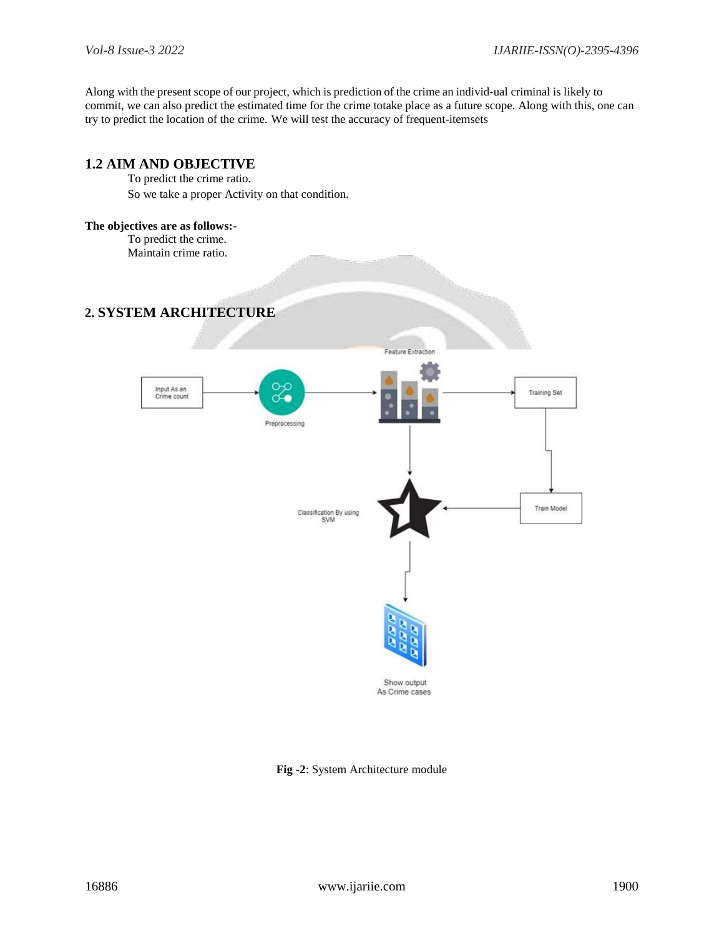Along with the present scope of our project, which is prediction of the crime an individ-ual criminal is likely to commit, we can also predict the estimated time for the crime totake place as a future scope. Along with this, one can try to predict the location of the crime. We will test the accuracy of frequent-itemsets



**Fig -2**: System Architecture module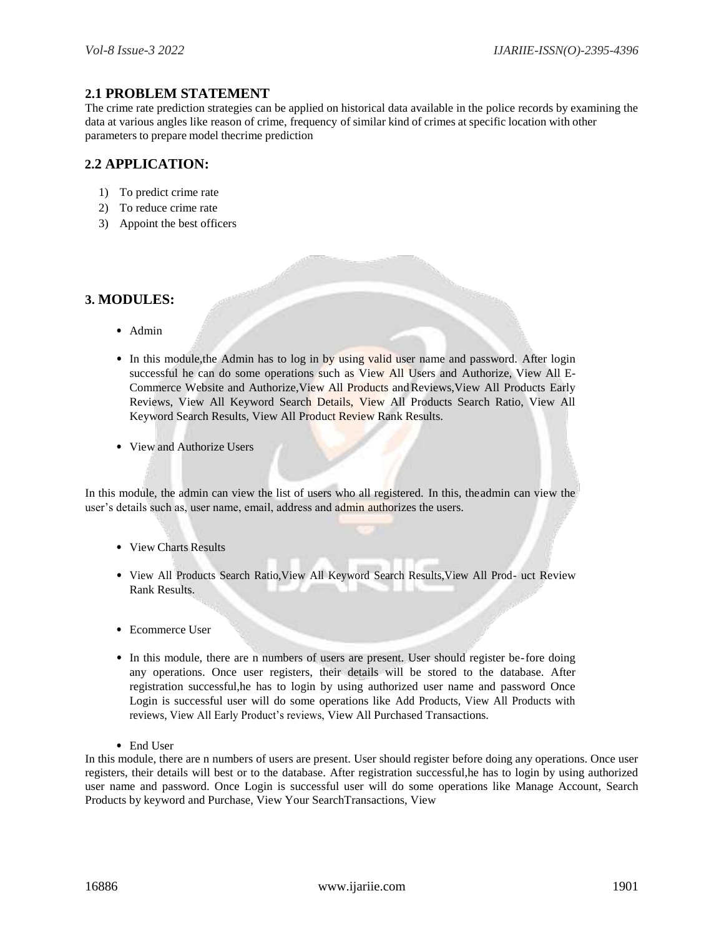#### **2.1 PROBLEM STATEMENT**

The crime rate prediction strategies can be applied on historical data available in the police records by examining the data at various angles like reason of crime, frequency of similar kind of crimes at specific location with other parameters to prepare model thecrime prediction

#### **2.2 APPLICATION:**

- 1) To predict crime rate
- 2) To reduce crime rate
- 3) Appoint the best officers

#### **3. MODULES:**

- Admin
- In this module, the Admin has to log in by using valid user name and password. After login successful he can do some operations such as View All Users and Authorize, View All E-Commerce Website and Authorize,View All Products andReviews,View All Products Early Reviews, View All Keyword Search Details, View All Products Search Ratio, View All Keyword Search Results, View All Product Review Rank Results.
- View and Authorize Users

In this module, the admin can view the list of users who all registered. In this, theadmin can view the user's details such as, user name, email, address and admin authorizes the users.

- View Charts Results
- View All Products Search Ratio,View All Keyword Search Results,View All Prod- uct Review Rank Results.
- Ecommerce User
- In this module, there are n numbers of users are present. User should register be-fore doing any operations. Once user registers, their details will be stored to the database. After registration successful,he has to login by using authorized user name and password Once Login is successful user will do some operations like Add Products, View All Products with reviews, View All Early Product's reviews, View All Purchased Transactions.
- End User

In this module, there are n numbers of users are present. User should register before doing any operations. Once user registers, their details will best or to the database. After registration successful,he has to login by using authorized user name and password. Once Login is successful user will do some operations like Manage Account, Search Products by keyword and Purchase, View Your SearchTransactions, View